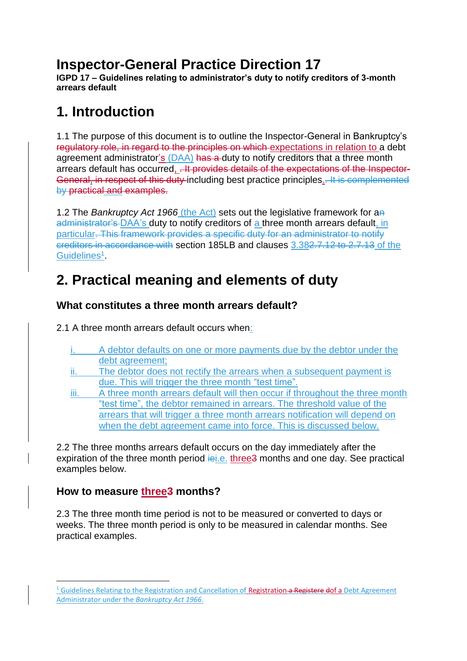## **Inspector-General Practice Direction 17**

**IGPD 17 – Guidelines relating to administrator's duty to notify creditors of 3-month arrears default**

## **1. Introduction**

1.1 The purpose of this document is to outline the Inspector-General in Bankruptcy's regulatory role, in regard to the principles on which expectations in relation to a debt agreement administrator's (DAA) has a duty to notify creditors that a three month arrears default has occurred, . It provides details of the expectations of the Inspector-General, in respect of this duty including best practice principles.. It is complemented by practical and examples.

1.2 The *Bankruptcy Act 1966* (the Act) sets out the legislative framework for an administrator's DAA's duty to notify creditors of a three month arrears default, in particular. This framework provides a specific duty for an administrator to notify creditors in accordance with section 185LB and clauses 3.382.7.12 to 2.7.13 of the Guidelines<sup>1</sup>.

# **2. Practical meaning and elements of duty**

## **What constitutes a three month arrears default?**

2.1 A three month arrears default occurs when:

- A debtor defaults on one or more payments due by the debtor under the debt agreement;
- ii. The debtor does not rectify the arrears when a subsequent payment is due. This will trigger the three month "test time".
- iii. A three month arrears default will then occur if throughout the three month "test time", the debtor remained in arrears. The threshold value of the arrears that will trigger a three month arrears notification will depend on when the debt agreement came into force. This is discussed below.

2.2 The three months arrears default occurs on the day immediately after the expiration of the three month period is i.e. three 3 months and one day. See practical examples below.

## **How to measure three3 months?**

**.** 

2.3 The three month time period is not to be measured or converted to days or weeks. The three month period is only to be measured in calendar months. See practical examples.

<sup>&</sup>lt;sup>1</sup> Guidelines Relating to the Registration and Cancellation of Registration a Registere dof a Debt Agreement Administrator under the *Bankruptcy Act 1966*.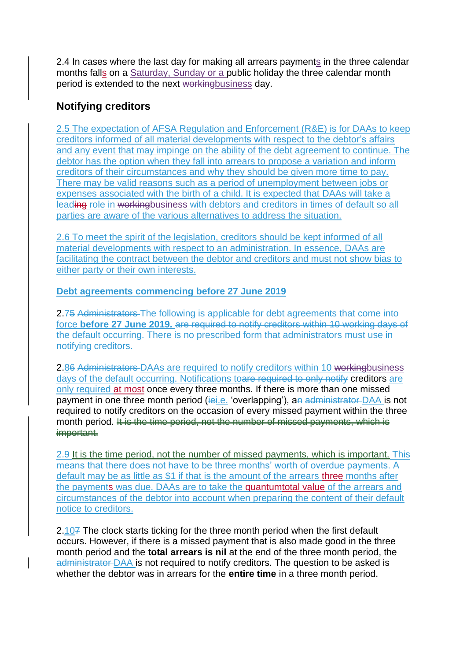2.4 In cases where the last day for making all arrears payments in the three calendar months falls on a Saturday, Sunday or a public holiday the three calendar month period is extended to the next workingbusiness day.

## **Notifying creditors**

2.5 The expectation of AFSA Regulation and Enforcement (R&E) is for DAAs to keep creditors informed of all material developments with respect to the debtor's affairs and any event that may impinge on the ability of the debt agreement to continue. The debtor has the option when they fall into arrears to propose a variation and inform creditors of their circumstances and why they should be given more time to pay. There may be valid reasons such as a period of unemployment between jobs or expenses associated with the birth of a child. It is expected that DAAs will take a leading role in workingbusiness with debtors and creditors in times of default so all parties are aware of the various alternatives to address the situation.

2.6 To meet the spirit of the legislation, creditors should be kept informed of all material developments with respect to an administration. In essence, DAAs are facilitating the contract between the debtor and creditors and must not show bias to either party or their own interests.

#### **Debt agreements commencing before 27 June 2019**

2.75 Administrators The following is applicable for debt agreements that come into force **before 27 June 2019***.* are required to notify creditors within 10 working days of the default occurring. There is no prescribed form that administrators must use in notifying creditors.

2.86 Administrators DAAs are required to notify creditors within 10 workingbusiness days of the default occurring. Notifications toare required to only notify creditors are only required at most once every three months. If there is more than one missed payment in one three month period (iei.e. 'overlapping'), an administrator DAA is not required to notify creditors on the occasion of every missed payment within the three month period. It is the time period, not the number of missed payments, which is important.

2.9 It is the time period, not the number of missed payments, which is important. This means that there does not have to be three months' worth of overdue payments. A default may be as little as \$1 if that is the amount of the arrears three months after the payments was due. DAAs are to take the **quantumtotal value** of the arrears and circumstances of the debtor into account when preparing the content of their default notice to creditors.

2.107 The clock starts ticking for the three month period when the first default occurs. However, if there is a missed payment that is also made good in the three month period and the **total arrears is nil** at the end of the three month period, the administrator DAA is not required to notify creditors. The question to be asked is whether the debtor was in arrears for the **entire time** in a three month period.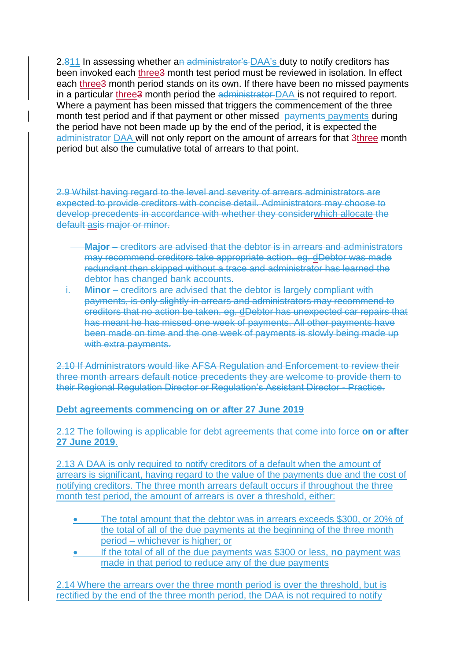2.811 In assessing whether an administrator's DAA's duty to notify creditors has been invoked each three3 month test period must be reviewed in isolation. In effect each three3 month period stands on its own. If there have been no missed payments in a particular three3 month period the administrator DAA is not required to report. Where a payment has been missed that triggers the commencement of the three month test period and if that payment or other missed–payments payments during the period have not been made up by the end of the period, it is expected the administrator DAA will not only report on the amount of arrears for that 3three month period but also the cumulative total of arrears to that point.

2.9 Whilst having regard to the level and severity of arrears administrators are expected to provide creditors with concise detail. Administrators may choose to develop precedents in accordance with whether they considerwhich allocate the default asis major or minor.

- **Major**  creditors are advised that the debtor is in arrears and administrators may recommend creditors take appropriate action. eg. dDebtor was made redundant then skipped without a trace and administrator has learned the debtor has changed bank accounts.
- **Minor** creditors are advised that the debtor is largely compliant with payments, is only slightly in arrears and administrators may recommend to creditors that no action be taken. eg. dDebtor has unexpected car repairs that has meant he has missed one week of payments. All other payments have been made on time and the one week of payments is slowly being made up with extra payments.

2.10 If Administrators would like AFSA Regulation and Enforcement to review their three month arrears default notice precedents they are welcome to provide them to their Regional Regulation Director or Regulation's Assistant Director - Practice.

**Debt agreements commencing on or after 27 June 2019**

2.12 The following is applicable for debt agreements that come into force **on or after 27 June 2019**.

2.13 A DAA is only required to notify creditors of a default when the amount of arrears is significant, having regard to the value of the payments due and the cost of notifying creditors. The three month arrears default occurs if throughout the three month test period, the amount of arrears is over a threshold, either:

- The total amount that the debtor was in arrears exceeds \$300, or 20% of the total of all of the due payments at the beginning of the three month period – whichever is higher; or
- If the total of all of the due payments was \$300 or less, **no** payment was made in that period to reduce any of the due payments

2.14 Where the arrears over the three month period is over the threshold, but is rectified by the end of the three month period, the DAA is not required to notify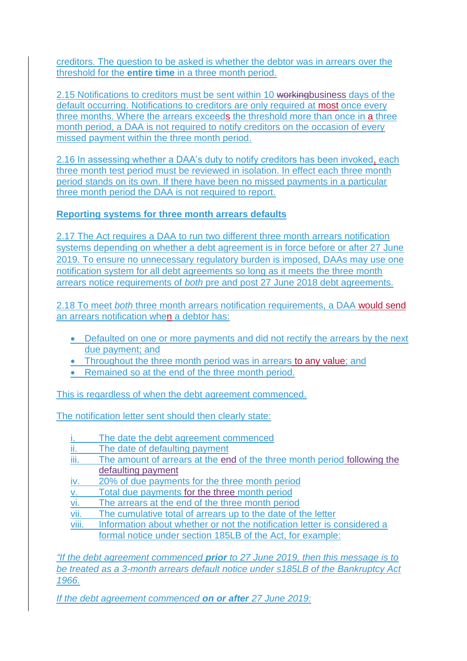creditors. The question to be asked is whether the debtor was in arrears over the threshold for the **entire time** in a three month period.

2.15 Notifications to creditors must be sent within 10 workingbusiness days of the default occurring. Notifications to creditors are only required at most once every three months. Where the arrears exceeds the threshold more than once in a three month period, a DAA is not required to notify creditors on the occasion of every missed payment within the three month period.

2.16 In assessing whether a DAA's duty to notify creditors has been invoked, each three month test period must be reviewed in isolation. In effect each three month period stands on its own. If there have been no missed payments in a particular three month period the DAA is not required to report.

#### **Reporting systems for three month arrears defaults**

2.17 The Act requires a DAA to run two different three month arrears notification systems depending on whether a debt agreement is in force before or after 27 June 2019. To ensure no unnecessary regulatory burden is imposed, DAAs may use one notification system for all debt agreements so long as it meets the three month arrears notice requirements of *both* pre and post 27 June 2018 debt agreements.

2.18 To meet *both* three month arrears notification requirements, a DAA would send an arrears notification when a debtor has:

- Defaulted on one or more payments and did not rectify the arrears by the next due payment; and
- Throughout the three month period was in arrears to any value; and
- Remained so at the end of the three month period.

This is regardless of when the debt agreement commenced.

The notification letter sent should then clearly state:

- The date the debt agreement commenced
- ii. The date of defaulting payment
- iii. The amount of arrears at the end of the three month period following the defaulting payment
- iv. 20% of due payments for the three month period
- Total due payments for the three month period
- vi. The arrears at the end of the three month period
- vii. The cumulative total of arrears up to the date of the letter
- viii. Information about whether or not the notification letter is considered a formal notice under section 185LB of the Act, for example:

*"If the debt agreement commenced prior to 27 June 2019, then this message is to be treated as a 3-month arrears default notice under s185LB of the Bankruptcy Act 1966.*

*If the debt agreement commenced on or after 27 June 2019:*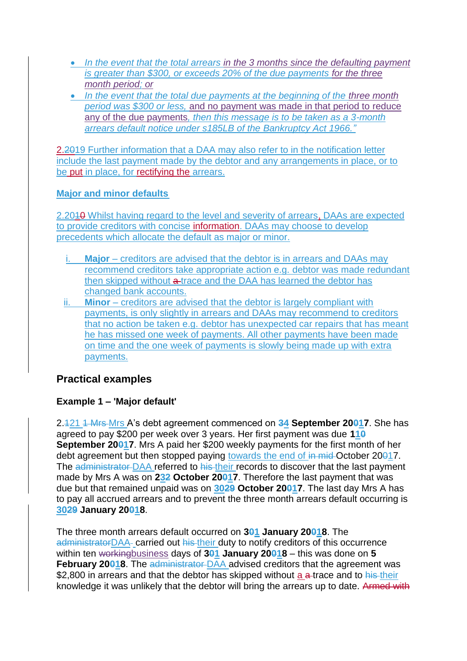- In the event that the total arrears in the 3 months since the defaulting payment *is greater than \$300, or exceeds 20% of the due payments for the three month period; or*
- *In the event that the total due payments at the beginning of the three month period was \$300 or less,* and no payment was made in that period to reduce any of the due payments*, then this message is to be taken as a 3-month arrears default notice under s185LB of the Bankruptcy Act 1966."*

2.2019 Further information that a DAA may also refer to in the notification letter include the last payment made by the debtor and any arrangements in place, or to be put in place, for rectifying the arrears.

#### **Major and minor defaults**

2.2010 Whilst having regard to the level and severity of arrears. DAAs are expected to provide creditors with concise information. DAAs may choose to develop precedents which allocate the default as major or minor.

- **Major** creditors are advised that the debtor is in arrears and DAAs may recommend creditors take appropriate action e.g. debtor was made redundant then skipped without a trace and the DAA has learned the debtor has changed bank accounts.
- ii. **Minor** creditors are advised that the debtor is largely compliant with payments, is only slightly in arrears and DAAs may recommend to creditors that no action be taken e.g. debtor has unexpected car repairs that has meant he has missed one week of payments. All other payments have been made on time and the one week of payments is slowly being made up with extra payments.

## **Practical examples**

### **Example 1 – 'Major default'**

2.121 1 Mrs Mrs A's debt agreement commenced on **34 September 20017**. She has agreed to pay \$200 per week over 3 years. Her first payment was due **110 September 20017.** Mrs A paid her \$200 weekly payments for the first month of her debt agreement but then stopped paying towards the end of in mid-October 20017. The administrator DAA referred to his their records to discover that the last payment made by Mrs A was on **232 October 20017**. Therefore the last payment that was due but that remained unpaid was on **3029 October 20017**. The last day Mrs A has to pay all accrued arrears and to prevent the three month arrears default occurring is **3029 January 20018**.

The three month arrears default occurred on **301 January 20018**. The administratorDAA- carried out his their duty to notify creditors of this occurrence within ten workingbusiness days of **301 January 20018** – this was done on **5 February 20018**. The administrator DAA advised creditors that the agreement was \$2,800 in arrears and that the debtor has skipped without a a trace and to his their knowledge it was unlikely that the debtor will bring the arrears up to date. Armed with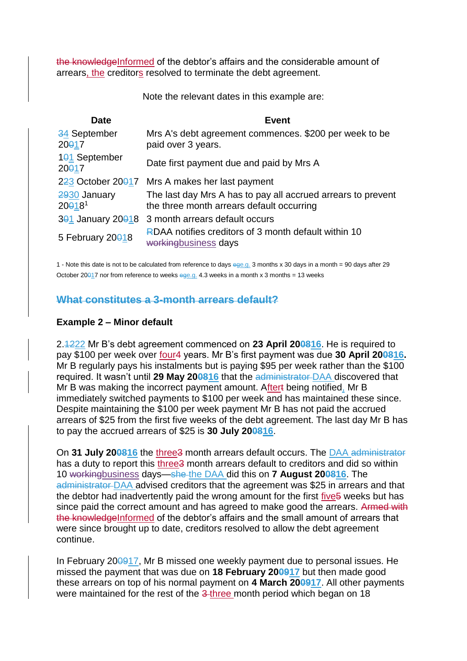the knowledgeInformed of the debtor's affairs and the considerable amount of arrears, the creditors resolved to terminate the debt agreement.

Note the relevant dates in this example are:

| <b>Date</b>                          | <b>Event</b>                                                                                              |
|--------------------------------------|-----------------------------------------------------------------------------------------------------------|
| 34 September<br>20017                | Mrs A's debt agreement commences. \$200 per week to be<br>paid over 3 years.                              |
| 101 September<br>20017               | Date first payment due and paid by Mrs A                                                                  |
|                                      | $223$ October 20017 Mrs A makes her last payment                                                          |
| 2930 January<br>$20018$ <sup>1</sup> | The last day Mrs A has to pay all accrued arrears to prevent<br>the three month arrears default occurring |
|                                      | 301 January 20018 3 month arrears default occurs                                                          |
| 5 February 20018                     | RDAA notifies creditors of 3 month default within 10<br>workingbusiness days                              |

1 - Note this date is not to be calculated from reference to days ege.g. 3 months x 30 days in a month = 90 days after 29 October 20017 nor from reference to weeks ege.g. 4.3 weeks in a month x 3 months = 13 weeks

#### **What constitutes a 3-month arrears default?**

#### **Example 2 – Minor default**

2.1222 Mr B's debt agreement commenced on **23 April 200816**. He is required to pay \$100 per week over four4 years. Mr B's first payment was due **30 April 200816.** Mr B regularly pays his instalments but is paying \$95 per week rather than the \$100 required. It wasn't until **29 May 200816** that the administrator DAA discovered that Mr B was making the incorrect payment amount. Aftert being notified, Mr B immediately switched payments to \$100 per week and has maintained these since. Despite maintaining the \$100 per week payment Mr B has not paid the accrued arrears of \$25 from the first five weeks of the debt agreement. The last day Mr B has to pay the accrued arrears of \$25 is **30 July 200816**.

On **31 July 200816** the three3 month arrears default occurs. The DAA administrator has a duty to report this three3 month arrears default to creditors and did so within 10 workingbusiness days—she the DAA did this on **7 August 200816**. The administrator DAA advised creditors that the agreement was \$25 in arrears and that the debtor had inadvertently paid the wrong amount for the first five 5 weeks but has since paid the correct amount and has agreed to make good the arrears. Armed with the knowledgeInformed of the debtor's affairs and the small amount of arrears that were since brought up to date, creditors resolved to allow the debt agreement continue.

In February 200917, Mr B missed one weekly payment due to personal issues. He missed the payment that was due on **18 February 200917** but then made good these arrears on top of his normal payment on **4 March 200917**. All other payments were maintained for the rest of the 3-three month period which began on 18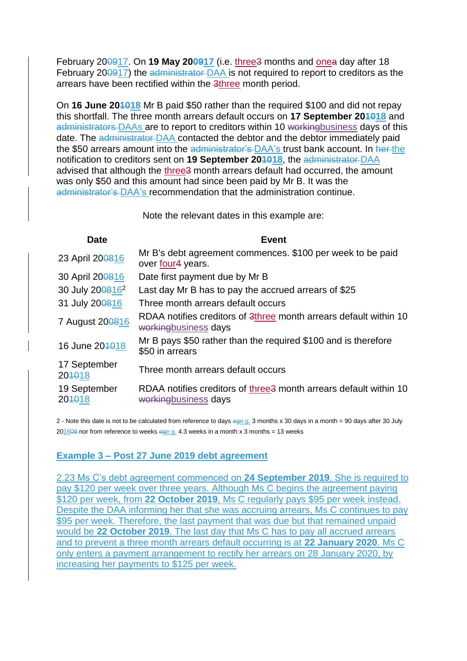February 200917. On **19 May 200917** (i.e. three3 months and onea day after 18 February 200917) the administrator DAA is not required to report to creditors as the arrears have been rectified within the 3three month period.

On **16 June 201018** Mr B paid \$50 rather than the required \$100 and did not repay this shortfall. The three month arrears default occurs on **17 September 201018** and administrators DAAs are to report to creditors within 10 workingbusiness days of this date. The administrator DAA contacted the debtor and the debtor immediately paid the \$50 arrears amount into the administrator's DAA's trust bank account. In her the notification to creditors sent on **19 September 201018**, the administrator DAA advised that although the three<sup>3</sup> month arrears default had occurred, the amount was only \$50 and this amount had since been paid by Mr B. It was the administrator's DAA's recommendation that the administration continue.

Note the relevant dates in this example are:

| <b>Date</b>            | <b>Event</b>                                                                                          |
|------------------------|-------------------------------------------------------------------------------------------------------|
| 23 April 200816        | Mr B's debt agreement commences. \$100 per week to be paid<br>over four4 years.                       |
| 30 April 200816        | Date first payment due by Mr B                                                                        |
| 30 July 2008162        | Last day Mr B has to pay the accrued arrears of \$25                                                  |
| 31 July 200816         | Three month arrears default occurs                                                                    |
| 7 August 200816        | RDAA notifies creditors of 3three month arrears default within 10<br>workingbusiness days             |
| 16 June 204018         | Mr B pays \$50 rather than the required \$100 and is therefore<br>\$50 in arrears                     |
| 17 September<br>204018 | Three month arrears default occurs                                                                    |
| 19 September<br>204018 | RDAA notifies creditors of three <sup>3</sup> month arrears default within 10<br>workingbusiness days |
|                        |                                                                                                       |

2 - Note this date is not to be calculated from reference to days ege.g. 3 months x 30 days in a month = 90 days after 30 July  $201608$  nor from reference to weeks ege.g. 4.3 weeks in a month x 3 months = 13 weeks

#### **Example 3 – Post 27 June 2019 debt agreement**

2.23 Ms C's debt agreement commenced on **24 September 2019**. She is required to pay \$120 per week over three years. Although Ms C begins the agreement paying \$120 per week, from **22 October 2019**, Ms C regularly pays \$95 per week instead. Despite the DAA informing her that she was accruing arrears, Ms C continues to pay \$95 per week. Therefore, the last payment that was due but that remained unpaid would be **22 October 2019**. The last day that Ms C has to pay all accrued arrears and to prevent a three month arrears default occurring is at **22 January 2020**. Ms C only enters a payment arrangement to rectify her arrears on 28 January 2020, by increasing her payments to \$125 per week.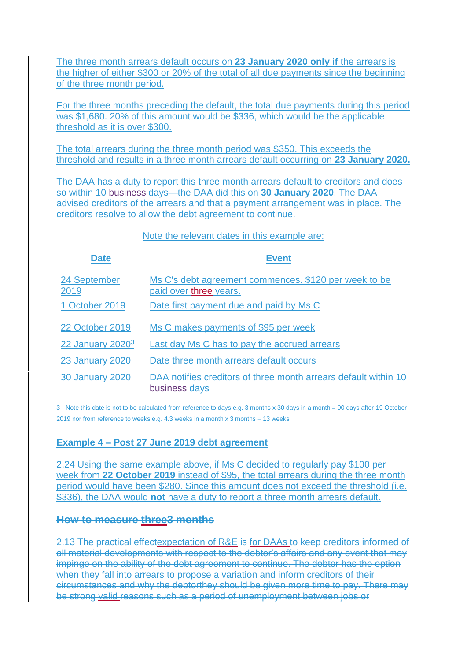The three month arrears default occurs on **23 January 2020 only if** the arrears is the higher of either \$300 or 20% of the total of all due payments since the beginning of the three month period.

For the three months preceding the default, the total due payments during this period was \$1,680. 20% of this amount would be \$336, which would be the applicable threshold as it is over \$300.

The total arrears during the three month period was \$350. This exceeds the threshold and results in a three month arrears default occurring on **23 January 2020.**

The DAA has a duty to report this three month arrears default to creditors and does so within 10 business days—the DAA did this on **30 January 2020**. The DAA advised creditors of the arrears and that a payment arrangement was in place. The creditors resolve to allow the debt agreement to continue.

Note the relevant dates in this example are:

| <b>Date</b>            | <b>Event</b>                                                                     |
|------------------------|----------------------------------------------------------------------------------|
| 24 September<br>2019   | Ms C's debt agreement commences. \$120 per week to be<br>paid over three years.  |
| 1 October 2019         | Date first payment due and paid by Ms C                                          |
| 22 October 2019        | Ms C makes payments of \$95 per week                                             |
| 22 January $20203$     | Last day Ms C has to pay the accrued arrears                                     |
| <b>23 January 2020</b> | Date three month arrears default occurs                                          |
| <b>30 January 2020</b> | DAA notifies creditors of three month arrears default within 10<br>business days |

3 - Note this date is not to be calculated from reference to days e.g. 3 months x 30 days in a month = 90 days after 19 October 2019 nor from reference to weeks e.g.  $4.3$  weeks in a month x 3 months = 13 weeks

#### **Example 4 – Post 27 June 2019 debt agreement**

2.24 Using the same example above, if Ms C decided to regularly pay \$100 per week from **22 October 2019** instead of \$95, the total arrears during the three month period would have been \$280. Since this amount does not exceed the threshold (i.e. \$336), the DAA would **not** have a duty to report a three month arrears default.

### **How to measure three3 months**

2.13 The practical effectexpectation of R&E is for DAAs to keep creditors informed of all material developments with respect to the debtor's affairs and any event that may impinge on the ability of the debt agreement to continue. The debtor has the option when they fall into arrears to propose a variation and inform creditors of their circumstances and why the debtorthey should be given more time to pay. There may be strong valid reasons such as a period of unemployment between jobs or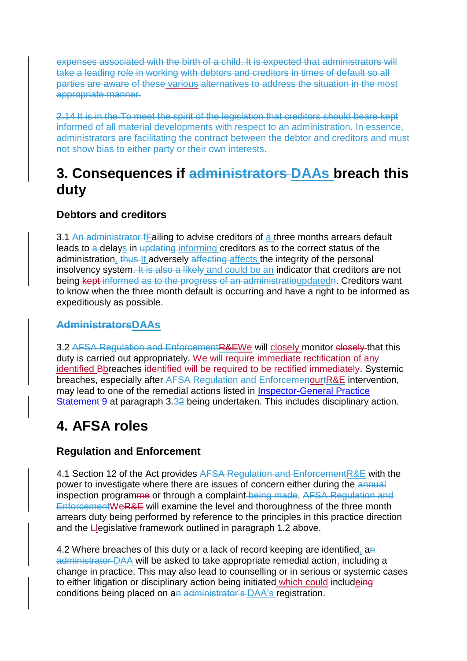expenses associated with the birth of a child. It is expected that administrators will take a leading role in working with debtors and creditors in times of default so all parties are aware of these various alternatives to address the situation in the most appropriate manner.

2.14 It is in the To meet the spirit of the legislation that creditors should beare kept informed of all material developments with respect to an administration. In essence, administrators are facilitating the contract between the debtor and creditors and must not show bias to either party or their own interests.

## **3. Consequences if administrators DAAs breach this duty**

## **Debtors and creditors**

3.1 An administrator fFailing to advise creditors of a three months arrears default leads to a delays in updating informing creditors as to the correct status of the administration. thus It adversely affecting affects the integrity of the personal insolvency system. It is also a likely and could be an indicator that creditors are not being kept informed as to the progress of an administratioupdatedn. Creditors want to know when the three month default is occurring and have a right to be informed as expeditiously as possible.

## **AdministratorsDAAs**

3.2 AFSA Regulation and EnforcementR&EWe will closely monitor closely that this duty is carried out appropriately. We will require immediate rectification of any identified Bbreaches identified will be required to be rectified immediately. Systemic breaches, especially after AFSA Regulation and EnforcemenourtR&E intervention, may lead to one of the remedial actions listed in [Inspector-General Practice](https://www.afsa.gov.au/about-us/practices/inspector-general-practice-statements/inspector-general-practice-statement-9)  [Statement 9](https://www.afsa.gov.au/about-us/practices/inspector-general-practice-statements/inspector-general-practice-statement-9) at paragraph 3.32 being undertaken. This includes disciplinary action.

# **4. AFSA roles**

## **Regulation and Enforcement**

4.1 Section 12 of the Act provides AFSA Regulation and Enforcement R&E with the power to investigate where there are issues of concern either during the annual inspection programme or through a complaint-being made. AFSA Regulation and EnforcementWeR&E will examine the level and thoroughness of the three month arrears duty being performed by reference to the principles in this practice direction and the Llegislative framework outlined in paragraph 1.2 above.

4.2 Where breaches of this duty or a lack of record keeping are identified, an administrator DAA will be asked to take appropriate remedial action, including a change in practice. This may also lead to counselling or in serious or systemic cases to either litigation or disciplinary action being initiated which could includeing conditions being placed on an administrator's DAA's registration.